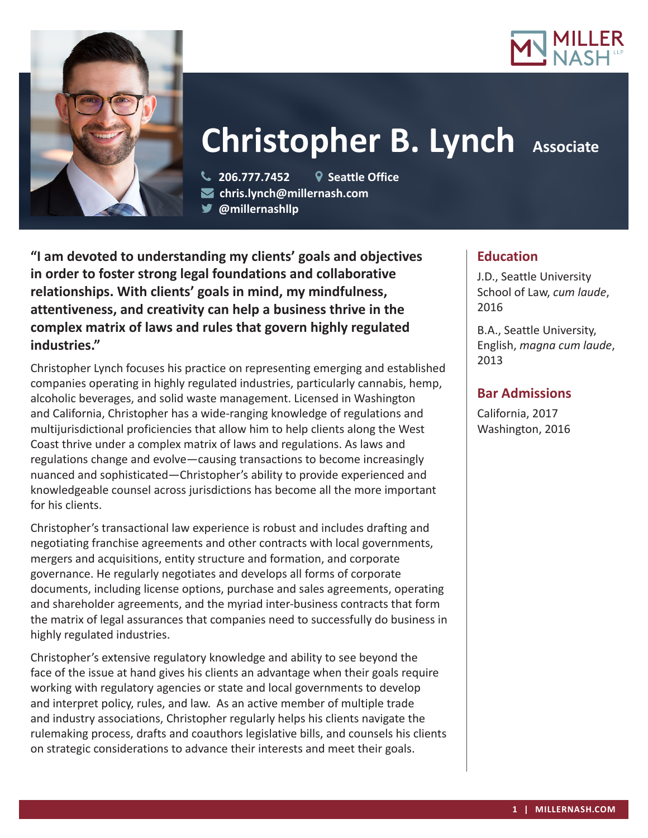



# **Christopher B. Lynch Associate**

 **206.777.7452 Seattle Office chris.lynch@millernash.com** 

**@millernashllp** 

**"I am devoted to understanding my clients' goals and objectives in order to foster strong legal foundations and collaborative relationships. With clients' goals in mind, my mindfulness, attentiveness, and creativity can help a business thrive in the complex matrix of laws and rules that govern highly regulated industries."**

Christopher Lynch focuses his practice on representing emerging and established companies operating in highly regulated industries, particularly cannabis, hemp, alcoholic beverages, and solid waste management. Licensed in Washington and California, Christopher has a wide-ranging knowledge of regulations and multijurisdictional proficiencies that allow him to help clients along the West Coast thrive under a complex matrix of laws and regulations. As laws and regulations change and evolve—causing transactions to become increasingly nuanced and sophisticated—Christopher's ability to provide experienced and knowledgeable counsel across jurisdictions has become all the more important for his clients.

Christopher's transactional law experience is robust and includes drafting and negotiating franchise agreements and other contracts with local governments, mergers and acquisitions, entity structure and formation, and corporate governance. He regularly negotiates and develops all forms of corporate documents, including license options, purchase and sales agreements, operating and shareholder agreements, and the myriad inter-business contracts that form the matrix of legal assurances that companies need to successfully do business in highly regulated industries.

Christopher's extensive regulatory knowledge and ability to see beyond the face of the issue at hand gives his clients an advantage when their goals require working with regulatory agencies or state and local governments to develop and interpret policy, rules, and law. As an active member of multiple trade and industry associations, Christopher regularly helps his clients navigate the rulemaking process, drafts and coauthors legislative bills, and counsels his clients on strategic considerations to advance their interests and meet their goals.

## **Education**

J.D., Seattle University School of Law, *cum laude*, 2016

B.A., Seattle University, English, *magna cum laude*, 2013

## **Bar Admissions**

California, 2017 Washington, 2016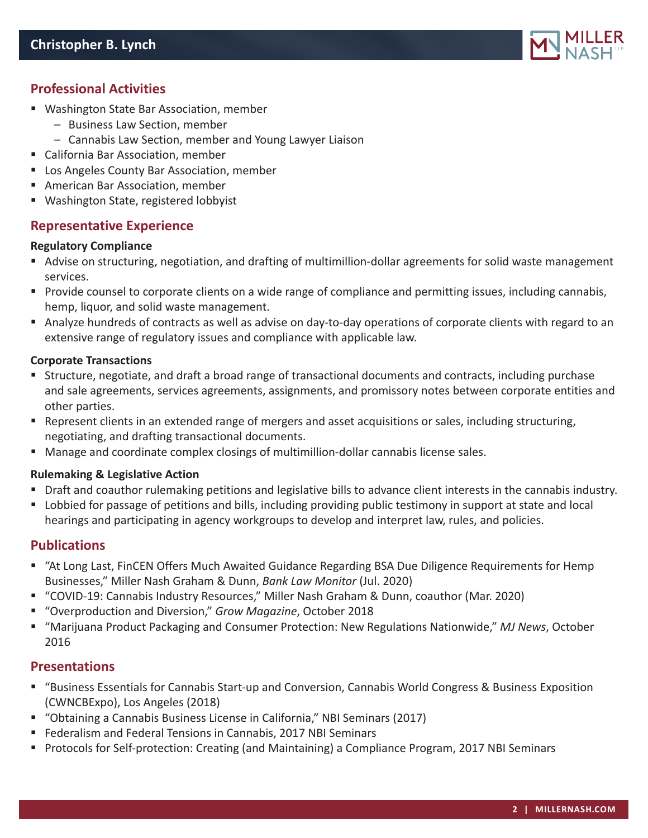

## **Professional Activities**

- Washington State Bar Association, member
	- Business Law Section, member
	- Cannabis Law Section, member and Young Lawyer Liaison
- California Bar Association, member
- **Los Angeles County Bar Association, member**
- American Bar Association, member
- Washington State, registered lobbyist

## **Representative Experience**

#### **Regulatory Compliance**

- Advise on structuring, negotiation, and drafting of multimillion-dollar agreements for solid waste management services.
- **Provide counsel to corporate clients on a wide range of compliance and permitting issues, including cannabis,** hemp, liquor, and solid waste management.
- Analyze hundreds of contracts as well as advise on day-to-day operations of corporate clients with regard to an extensive range of regulatory issues and compliance with applicable law.

#### **Corporate Transactions**

- Structure, negotiate, and draft a broad range of transactional documents and contracts, including purchase and sale agreements, services agreements, assignments, and promissory notes between corporate entities and other parties.
- Represent clients in an extended range of mergers and asset acquisitions or sales, including structuring, negotiating, and drafting transactional documents.
- Manage and coordinate complex closings of multimillion-dollar cannabis license sales.

#### **Rulemaking & Legislative Action**

- Draft and coauthor rulemaking petitions and legislative bills to advance client interests in the cannabis industry.
- Lobbied for passage of petitions and bills, including providing public testimony in support at state and local hearings and participating in agency workgroups to develop and interpret law, rules, and policies.

### **Publications**

- "At Long Last, FinCEN Offers Much Awaited Guidance Regarding BSA Due Diligence Requirements for Hemp Businesses," Miller Nash Graham & Dunn, *Bank Law Monitor* (Jul. 2020)
- "COVID-19: Cannabis Industry Resources," Miller Nash Graham & Dunn, coauthor (Mar. 2020)
- "Overproduction and Diversion," *Grow Magazine*, October 2018
- "Marijuana Product Packaging and Consumer Protection: New Regulations Nationwide," *MJ News*, October 2016

### **Presentations**

- "Business Essentials for Cannabis Start-up and Conversion, Cannabis World Congress & Business Exposition (CWNCBExpo), Los Angeles (2018)
- "Obtaining a Cannabis Business License in California," NBI Seminars (2017)
- **Federalism and Federal Tensions in Cannabis, 2017 NBI Seminars**
- **Protocols for Self-protection: Creating (and Maintaining) a Compliance Program, 2017 NBI Seminars**